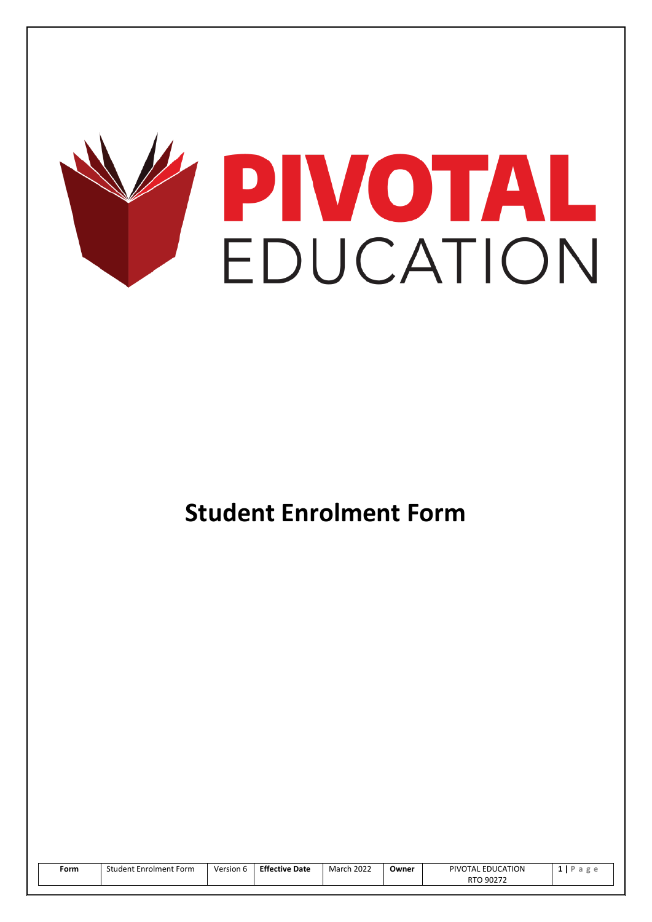

# **Student Enrolment Form**

| Form | <b>Student Enrolment Form</b> | Version 6 | <b>Effective Date</b> | <b>March 2022</b> | Owner | PIVOTAL EDUCATION | a |
|------|-------------------------------|-----------|-----------------------|-------------------|-------|-------------------|---|
|      |                               |           |                       |                   |       | RTO 90272         |   |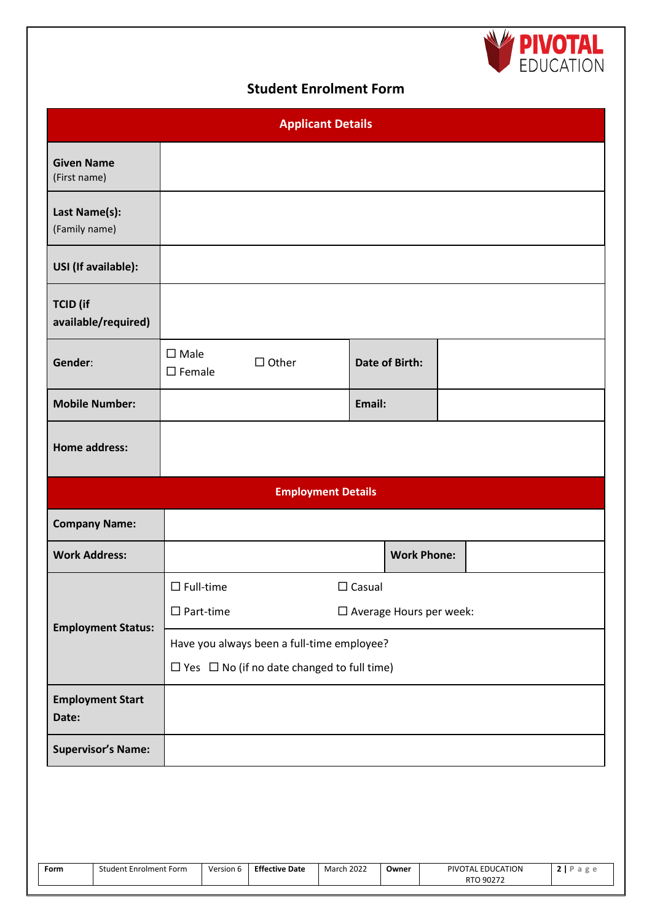

## **Student Enrolment Form**

| <b>Applicant Details</b>               |                                                        |                           |               |                       |  |  |  |  |
|----------------------------------------|--------------------------------------------------------|---------------------------|---------------|-----------------------|--|--|--|--|
| <b>Given Name</b><br>(First name)      |                                                        |                           |               |                       |  |  |  |  |
| Last Name(s):<br>(Family name)         |                                                        |                           |               |                       |  |  |  |  |
| USI (If available):                    |                                                        |                           |               |                       |  |  |  |  |
| <b>TCID</b> (if<br>available/required) |                                                        |                           |               |                       |  |  |  |  |
| Gender:                                | $\square$ Male<br>$\square$ Female                     | $\Box$ Other              |               | <b>Date of Birth:</b> |  |  |  |  |
| <b>Mobile Number:</b>                  |                                                        |                           | Email:        |                       |  |  |  |  |
| <b>Home address:</b>                   |                                                        |                           |               |                       |  |  |  |  |
|                                        |                                                        | <b>Employment Details</b> |               |                       |  |  |  |  |
| <b>Company Name:</b>                   |                                                        |                           |               |                       |  |  |  |  |
| <b>Work Address:</b>                   |                                                        |                           |               | <b>Work Phone:</b>    |  |  |  |  |
|                                        | $\square$ Full-time                                    |                           | $\Box$ Casual |                       |  |  |  |  |
| <b>Employment Status:</b>              | $\Box$ Part-time<br>$\square$ Average Hours per week:  |                           |               |                       |  |  |  |  |
|                                        | Have you always been a full-time employee?             |                           |               |                       |  |  |  |  |
|                                        | $\Box$ Yes $\Box$ No (if no date changed to full time) |                           |               |                       |  |  |  |  |
| <b>Employment Start</b><br>Date:       |                                                        |                           |               |                       |  |  |  |  |
| <b>Supervisor's Name:</b>              |                                                        |                           |               |                       |  |  |  |  |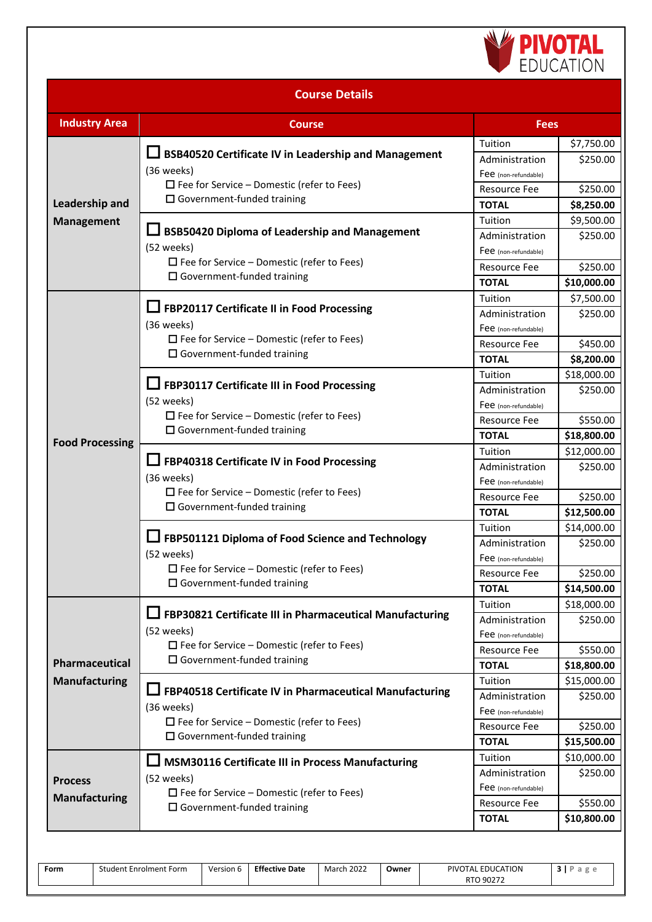

| <b>Course Details</b>                  |                                                                                                                                                                     |                                                                                          |                                                    |  |  |  |  |
|----------------------------------------|---------------------------------------------------------------------------------------------------------------------------------------------------------------------|------------------------------------------------------------------------------------------|----------------------------------------------------|--|--|--|--|
| <b>Industry Area</b>                   | <b>Course</b>                                                                                                                                                       | <b>Fees</b>                                                                              |                                                    |  |  |  |  |
| Leadership and                         | <b>BSB40520 Certificate IV in Leadership and Management</b><br>(36 weeks)<br>$\Box$ Fee for Service – Domestic (refer to Fees)<br>$\Box$ Government-funded training | Tuition<br>Administration<br>Fee (non-refundable)<br><b>Resource Fee</b><br><b>TOTAL</b> | \$7,750.00<br>\$250.00<br>\$250.00<br>\$8,250.00   |  |  |  |  |
| <b>Management</b>                      | BSB50420 Diploma of Leadership and Management<br>(52 weeks)<br>$\Box$ Fee for Service – Domestic (refer to Fees)<br>$\Box$ Government-funded training               | Tuition<br>Administration<br>Fee (non-refundable)<br><b>Resource Fee</b><br><b>TOTAL</b> | \$9,500.00<br>\$250.00<br>\$250.00<br>\$10,000.00  |  |  |  |  |
|                                        | □ FBP20117 Certificate II in Food Processing<br>(36 weeks)<br>$\Box$ Fee for Service – Domestic (refer to Fees)<br>$\Box$ Government-funded training                | Tuition<br>Administration<br>Fee (non-refundable)<br><b>Resource Fee</b><br><b>TOTAL</b> | \$7,500.00<br>\$250.00<br>\$450.00<br>\$8,200.00   |  |  |  |  |
|                                        | FBP30117 Certificate III in Food Processing<br>(52 weeks)<br>$\Box$ Fee for Service – Domestic (refer to Fees)<br>$\Box$ Government-funded training                 | Tuition<br>Administration<br>Fee (non-refundable)<br><b>Resource Fee</b><br><b>TOTAL</b> | \$18,000.00<br>\$250.00<br>\$550.00<br>\$18,800.00 |  |  |  |  |
| <b>Food Processing</b>                 | FBP40318 Certificate IV in Food Processing<br>(36 weeks)<br>$\Box$ Fee for Service – Domestic (refer to Fees)<br>$\Box$ Government-funded training                  | Tuition<br>Administration<br>Fee (non-refundable)<br><b>Resource Fee</b><br><b>TOTAL</b> | \$12,000.00<br>\$250.00<br>\$250.00<br>\$12,500.00 |  |  |  |  |
|                                        | FBP501121 Diploma of Food Science and Technology<br>(52 weeks)<br>$\Box$ Fee for Service – Domestic (refer to Fees)<br>$\Box$ Government-funded training            | Tuition<br>Administration<br>Fee (non-refundable)<br><b>Resource Fee</b><br><b>TOTAL</b> | \$14,000.00<br>\$250.00<br>\$250.00<br>\$14,500.00 |  |  |  |  |
| Pharmaceutical                         | FBP30821 Certificate III in Pharmaceutical Manufacturing<br>(52 weeks)<br>$\Box$ Fee for Service – Domestic (refer to Fees)<br>$\Box$ Government-funded training    | Tuition<br>Administration<br>Fee (non-refundable)<br><b>Resource Fee</b><br><b>TOTAL</b> | \$18,000.00<br>\$250.00<br>\$550.00<br>\$18,800.00 |  |  |  |  |
| <b>Manufacturing</b>                   | □ FBP40518 Certificate IV in Pharmaceutical Manufacturing<br>(36 weeks)<br>$\Box$ Fee for Service – Domestic (refer to Fees)<br>$\Box$ Government-funded training   | Tuition<br>Administration<br>Fee (non-refundable)<br><b>Resource Fee</b><br><b>TOTAL</b> | \$15,000.00<br>\$250.00<br>\$250.00<br>\$15,500.00 |  |  |  |  |
| <b>Process</b><br><b>Manufacturing</b> | <b>MSM30116 Certificate III in Process Manufacturing</b><br>(52 weeks)<br>$\Box$ Fee for Service – Domestic (refer to Fees)<br>$\Box$ Government-funded training    | Tuition<br>Administration<br>Fee (non-refundable)<br>Resource Fee<br><b>TOTAL</b>        | \$10,000.00<br>\$250.00<br>\$550.00<br>\$10,800.00 |  |  |  |  |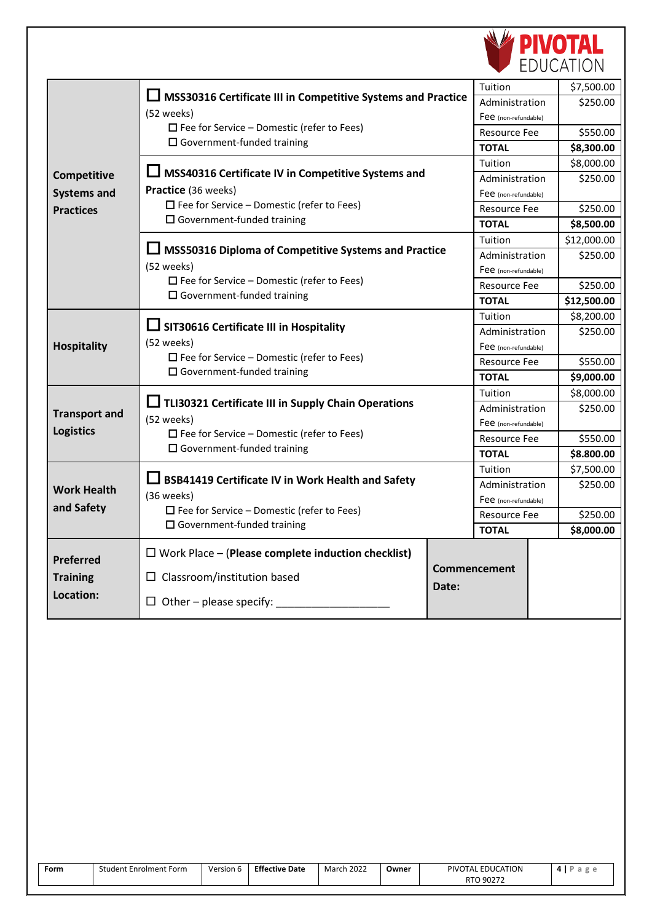

|                      |                                                                                        |                      | Tuition              |             | \$7,500.00  |
|----------------------|----------------------------------------------------------------------------------------|----------------------|----------------------|-------------|-------------|
|                      | MSS30316 Certificate III in Competitive Systems and Practice                           | Administration       |                      | \$250.00    |             |
|                      | (52 weeks)                                                                             |                      | Fee (non-refundable) |             |             |
|                      | $\Box$ Fee for Service – Domestic (refer to Fees)                                      |                      | <b>Resource Fee</b>  |             | \$550.00    |
|                      | $\Box$ Government-funded training                                                      |                      | <b>TOTAL</b>         |             | \$8,300.00  |
|                      |                                                                                        |                      | Tuition              |             | \$8,000.00  |
| Competitive          | □ MSS40316 Certificate IV in Competitive Systems and                                   |                      | Administration       |             | \$250.00    |
| <b>Systems and</b>   | Practice (36 weeks)                                                                    |                      | Fee (non-refundable) |             |             |
| <b>Practices</b>     | $\Box$ Fee for Service – Domestic (refer to Fees)                                      |                      | <b>Resource Fee</b>  |             | \$250.00    |
|                      | $\Box$ Government-funded training                                                      |                      | <b>TOTAL</b>         |             | \$8,500.00  |
|                      |                                                                                        |                      | Tuition              |             | \$12,000.00 |
|                      | MSS50316 Diploma of Competitive Systems and Practice                                   |                      | Administration       |             | \$250.00    |
|                      | (52 weeks)                                                                             | Fee (non-refundable) |                      |             |             |
|                      | $\Box$ Fee for Service – Domestic (refer to Fees)                                      | <b>Resource Fee</b>  |                      | \$250.00    |             |
|                      | $\Box$ Government-funded training                                                      | <b>TOTAL</b>         |                      | \$12,500.00 |             |
|                      |                                                                                        |                      | Tuition              |             | \$8,200.00  |
|                      | SIT30616 Certificate III in Hospitality                                                |                      | Administration       |             | \$250.00    |
| <b>Hospitality</b>   | (52 weeks)                                                                             | Fee (non-refundable) |                      |             |             |
|                      | $\Box$ Fee for Service – Domestic (refer to Fees)<br>$\Box$ Government-funded training | <b>Resource Fee</b>  |                      | \$550.00    |             |
|                      |                                                                                        | <b>TOTAL</b>         |                      | \$9,000.00  |             |
|                      |                                                                                        |                      | Tuition              |             | \$8,000.00  |
| <b>Transport and</b> | □ TLI30321 Certificate III in Supply Chain Operations                                  | Administration       |                      | \$250.00    |             |
| <b>Logistics</b>     | (52 weeks)<br>$\Box$ Fee for Service – Domestic (refer to Fees)                        | Fee (non-refundable) |                      |             |             |
|                      | $\Box$ Government-funded training                                                      | <b>Resource Fee</b>  |                      | \$550.00    |             |
|                      |                                                                                        |                      | <b>TOTAL</b>         |             | \$8.800.00  |
|                      | <b>BSB41419 Certificate IV in Work Health and Safety</b>                               |                      | Tuition              |             | \$7,500.00  |
| <b>Work Health</b>   |                                                                                        |                      | Administration       |             | \$250.00    |
| and Safety           | (36 weeks)<br>$\Box$ Fee for Service – Domestic (refer to Fees)                        |                      | Fee (non-refundable) |             |             |
|                      | $\Box$ Government-funded training                                                      |                      | <b>Resource Fee</b>  |             | \$250.00    |
|                      |                                                                                        |                      | <b>TOTAL</b>         |             | \$8,000.00  |
| <b>Preferred</b>     | $\Box$ Work Place – (Please complete induction checklist)                              |                      |                      |             |             |
|                      |                                                                                        |                      | Commencement         |             |             |
| <b>Training</b>      | Classroom/institution based<br>ப                                                       | Date:                |                      |             |             |
| Location:            | $\Box$ Other – please specify:                                                         |                      |                      |             |             |

| Form | <b>Student Enrolment Form</b> | Version 6 | <b>Effective Date</b> | <b>March 2022</b> | Owner | PIVOTAL EDUCATION | $4$   P a g e |
|------|-------------------------------|-----------|-----------------------|-------------------|-------|-------------------|---------------|

RTO 90272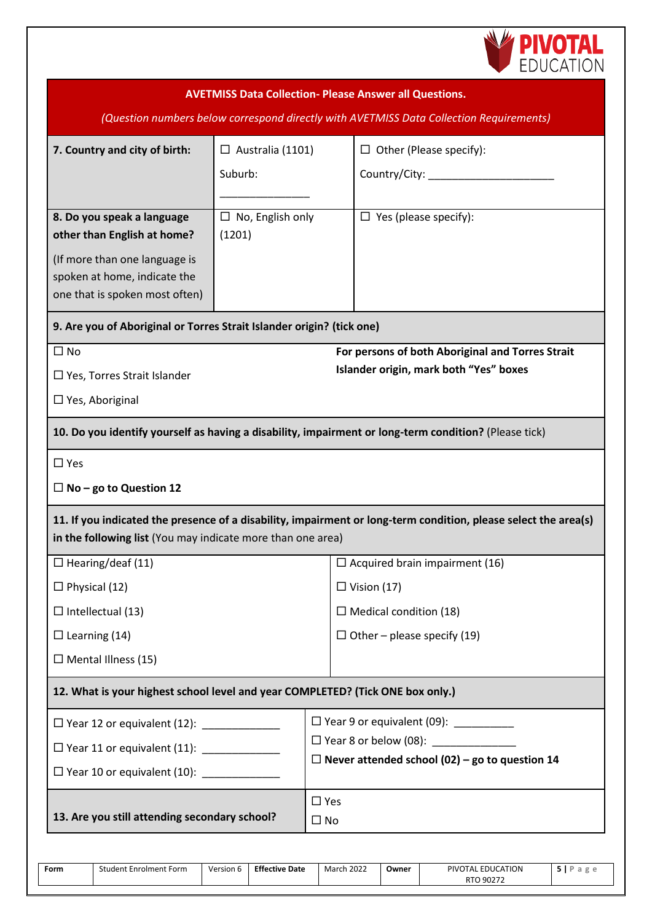

|                                                                                | <b>AVETMISS Data Collection- Please Answer all Questions.</b><br>(Question numbers below correspond directly with AVETMISS Data Collection Requirements) |                                       |                                                                                                                 |  |  |  |  |  |  |
|--------------------------------------------------------------------------------|----------------------------------------------------------------------------------------------------------------------------------------------------------|---------------------------------------|-----------------------------------------------------------------------------------------------------------------|--|--|--|--|--|--|
|                                                                                |                                                                                                                                                          |                                       |                                                                                                                 |  |  |  |  |  |  |
| 7. Country and city of birth:                                                  | $\Box$ Australia (1101)                                                                                                                                  |                                       | $\Box$ Other (Please specify):                                                                                  |  |  |  |  |  |  |
|                                                                                | Suburb:                                                                                                                                                  |                                       | Country/City: _________                                                                                         |  |  |  |  |  |  |
| 8. Do you speak a language                                                     | $\Box$ No, English only                                                                                                                                  |                                       | $\Box$ Yes (please specify):                                                                                    |  |  |  |  |  |  |
| other than English at home?                                                    | (1201)                                                                                                                                                   |                                       |                                                                                                                 |  |  |  |  |  |  |
| (If more than one language is                                                  |                                                                                                                                                          |                                       |                                                                                                                 |  |  |  |  |  |  |
| spoken at home, indicate the                                                   |                                                                                                                                                          |                                       |                                                                                                                 |  |  |  |  |  |  |
| one that is spoken most often)                                                 |                                                                                                                                                          |                                       |                                                                                                                 |  |  |  |  |  |  |
| 9. Are you of Aboriginal or Torres Strait Islander origin? (tick one)          |                                                                                                                                                          |                                       |                                                                                                                 |  |  |  |  |  |  |
| $\square$ No                                                                   |                                                                                                                                                          |                                       | For persons of both Aboriginal and Torres Strait                                                                |  |  |  |  |  |  |
| $\Box$ Yes, Torres Strait Islander                                             |                                                                                                                                                          |                                       | Islander origin, mark both "Yes" boxes                                                                          |  |  |  |  |  |  |
| $\Box$ Yes, Aboriginal                                                         |                                                                                                                                                          |                                       |                                                                                                                 |  |  |  |  |  |  |
|                                                                                |                                                                                                                                                          |                                       | 10. Do you identify yourself as having a disability, impairment or long-term condition? (Please tick)           |  |  |  |  |  |  |
| $\Box$ Yes                                                                     |                                                                                                                                                          |                                       |                                                                                                                 |  |  |  |  |  |  |
| $\Box$ No – go to Question 12                                                  |                                                                                                                                                          |                                       |                                                                                                                 |  |  |  |  |  |  |
|                                                                                |                                                                                                                                                          |                                       | 11. If you indicated the presence of a disability, impairment or long-term condition, please select the area(s) |  |  |  |  |  |  |
| in the following list (You may indicate more than one area)                    |                                                                                                                                                          |                                       |                                                                                                                 |  |  |  |  |  |  |
| $\Box$ Hearing/deaf (11)                                                       |                                                                                                                                                          | $\Box$ Acquired brain impairment (16) |                                                                                                                 |  |  |  |  |  |  |
| $\Box$ Physical (12)                                                           |                                                                                                                                                          | $\Box$ Vision (17)                    |                                                                                                                 |  |  |  |  |  |  |
| $\Box$ Intellectual (13)                                                       |                                                                                                                                                          | $\Box$ Medical condition (18)         |                                                                                                                 |  |  |  |  |  |  |
| $\Box$ Learning (14)                                                           |                                                                                                                                                          |                                       | $\Box$ Other – please specify (19)                                                                              |  |  |  |  |  |  |
| $\Box$ Mental Illness (15)                                                     |                                                                                                                                                          |                                       |                                                                                                                 |  |  |  |  |  |  |
| 12. What is your highest school level and year COMPLETED? (Tick ONE box only.) |                                                                                                                                                          |                                       |                                                                                                                 |  |  |  |  |  |  |
|                                                                                |                                                                                                                                                          |                                       | $\Box$ Year 9 or equivalent (09):                                                                               |  |  |  |  |  |  |
| □ Year 11 or equivalent (11): ______________                                   |                                                                                                                                                          |                                       | $\Box$ Year 8 or below (08):                                                                                    |  |  |  |  |  |  |
| $\Box$ Year 10 or equivalent (10):                                             |                                                                                                                                                          |                                       | $\Box$ Never attended school (02) – go to question 14                                                           |  |  |  |  |  |  |
|                                                                                |                                                                                                                                                          | $\Box$ Yes                            |                                                                                                                 |  |  |  |  |  |  |
| 13. Are you still attending secondary school?                                  |                                                                                                                                                          | $\square$ No                          |                                                                                                                 |  |  |  |  |  |  |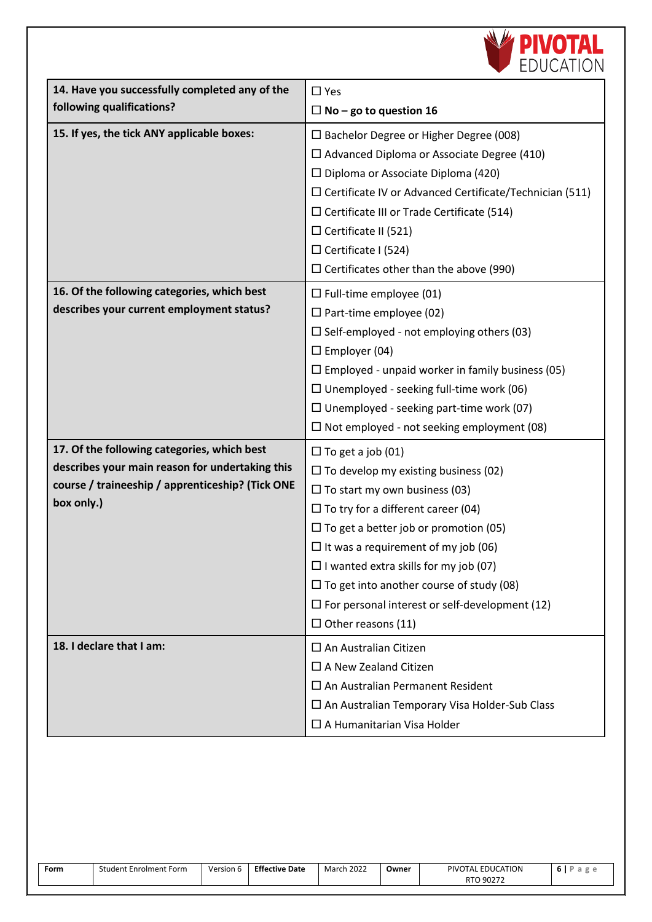

| 14. Have you successfully completed any of the                                                                                                                   | $\Box$ Yes                                                                                                                                                                                                                                                                                                                                                                                                                                          |
|------------------------------------------------------------------------------------------------------------------------------------------------------------------|-----------------------------------------------------------------------------------------------------------------------------------------------------------------------------------------------------------------------------------------------------------------------------------------------------------------------------------------------------------------------------------------------------------------------------------------------------|
| following qualifications?                                                                                                                                        | $\Box$ No – go to question 16                                                                                                                                                                                                                                                                                                                                                                                                                       |
| 15. If yes, the tick ANY applicable boxes:                                                                                                                       | $\Box$ Bachelor Degree or Higher Degree (008)<br>$\Box$ Advanced Diploma or Associate Degree (410)<br>$\Box$ Diploma or Associate Diploma (420)<br>$\Box$ Certificate IV or Advanced Certificate/Technician (511)<br>$\Box$ Certificate III or Trade Certificate (514)<br>$\Box$ Certificate II (521)<br>$\Box$ Certificate I (524)<br>$\Box$ Certificates other than the above (990)                                                               |
| 16. Of the following categories, which best<br>describes your current employment status?                                                                         | $\Box$ Full-time employee (01)<br>$\Box$ Part-time employee (02)<br>$\Box$ Self-employed - not employing others (03)<br>$\Box$ Employer (04)<br>$\Box$ Employed - unpaid worker in family business (05)<br>$\Box$ Unemployed - seeking full-time work (06)<br>$\Box$ Unemployed - seeking part-time work (07)<br>$\Box$ Not employed - not seeking employment (08)                                                                                  |
| 17. Of the following categories, which best<br>describes your main reason for undertaking this<br>course / traineeship / apprenticeship? (Tick ONE<br>box only.) | $\Box$ To get a job (01)<br>$\Box$ To develop my existing business (02)<br>$\Box$ To start my own business (03)<br>$\Box$ To try for a different career (04)<br>$\Box$ To get a better job or promotion (05)<br>$\Box$ It was a requirement of my job (06)<br>$\Box$ I wanted extra skills for my job (07)<br>$\Box$ To get into another course of study (08)<br>$\Box$ For personal interest or self-development (12)<br>$\Box$ Other reasons (11) |
| 18. I declare that I am:                                                                                                                                         | $\square$ An Australian Citizen<br>$\Box$ A New Zealand Citizen<br>$\Box$ An Australian Permanent Resident<br>$\Box$ An Australian Temporary Visa Holder-Sub Class<br>$\Box$ A Humanitarian Visa Holder                                                                                                                                                                                                                                             |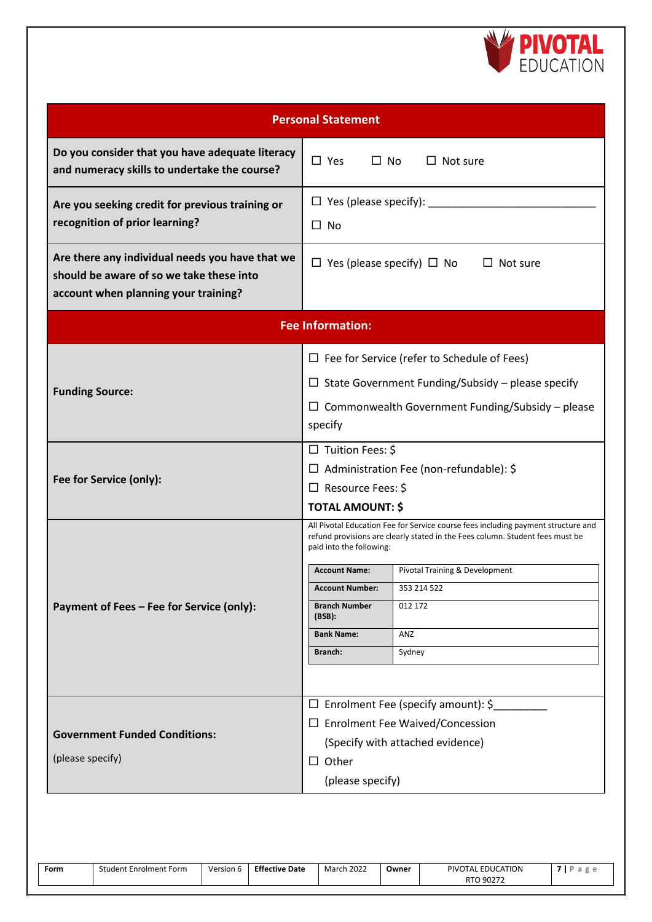

| <b>Personal Statement</b>                                                                                                           |                                                                                                                                                                                                |                                                    |  |  |  |  |  |
|-------------------------------------------------------------------------------------------------------------------------------------|------------------------------------------------------------------------------------------------------------------------------------------------------------------------------------------------|----------------------------------------------------|--|--|--|--|--|
| Do you consider that you have adequate literacy<br>and numeracy skills to undertake the course?                                     | $\Box$ Yes<br>$\Box$ No                                                                                                                                                                        | $\Box$ Not sure                                    |  |  |  |  |  |
| Are you seeking credit for previous training or<br>recognition of prior learning?                                                   | □ No                                                                                                                                                                                           | $\Box$ Yes (please specify): _________             |  |  |  |  |  |
| Are there any individual needs you have that we<br>should be aware of so we take these into<br>account when planning your training? | $\Box$ Yes (please specify) $\Box$ No<br>$\Box$ Not sure                                                                                                                                       |                                                    |  |  |  |  |  |
|                                                                                                                                     | <b>Fee Information:</b>                                                                                                                                                                        |                                                    |  |  |  |  |  |
|                                                                                                                                     |                                                                                                                                                                                                | $\Box$ Fee for Service (refer to Schedule of Fees) |  |  |  |  |  |
| <b>Funding Source:</b>                                                                                                              | $\Box$ State Government Funding/Subsidy – please specify                                                                                                                                       |                                                    |  |  |  |  |  |
|                                                                                                                                     | $\Box$ Commonwealth Government Funding/Subsidy – please<br>specify                                                                                                                             |                                                    |  |  |  |  |  |
|                                                                                                                                     | $\Box$ Tuition Fees: \$                                                                                                                                                                        |                                                    |  |  |  |  |  |
| Fee for Service (only):                                                                                                             | $\Box$ Administration Fee (non-refundable): \$                                                                                                                                                 |                                                    |  |  |  |  |  |
|                                                                                                                                     | $\Box$ Resource Fees: \$<br><b>TOTAL AMOUNT: \$</b>                                                                                                                                            |                                                    |  |  |  |  |  |
|                                                                                                                                     | All Pivotal Education Fee for Service course fees including payment structure and<br>refund provisions are clearly stated in the Fees column. Student fees must be<br>paid into the following: |                                                    |  |  |  |  |  |
|                                                                                                                                     | <b>Account Name:</b>                                                                                                                                                                           | Pivotal Training & Development                     |  |  |  |  |  |
|                                                                                                                                     | <b>Account Number:</b>                                                                                                                                                                         | 353 214 522                                        |  |  |  |  |  |
| Payment of Fees - Fee for Service (only):                                                                                           | <b>Branch Number</b><br>(BSB):                                                                                                                                                                 | 012 172                                            |  |  |  |  |  |
|                                                                                                                                     | <b>Bank Name:</b>                                                                                                                                                                              | ANZ                                                |  |  |  |  |  |
|                                                                                                                                     | Branch:                                                                                                                                                                                        | Sydney                                             |  |  |  |  |  |
|                                                                                                                                     |                                                                                                                                                                                                |                                                    |  |  |  |  |  |
|                                                                                                                                     |                                                                                                                                                                                                | $\Box$ Enrolment Fee (specify amount): \$          |  |  |  |  |  |
| <b>Government Funded Conditions:</b>                                                                                                | $\square$ Enrolment Fee Waived/Concession                                                                                                                                                      |                                                    |  |  |  |  |  |
|                                                                                                                                     |                                                                                                                                                                                                | (Specify with attached evidence)                   |  |  |  |  |  |
| (please specify)                                                                                                                    | $\Box$ Other                                                                                                                                                                                   |                                                    |  |  |  |  |  |
|                                                                                                                                     | (please specify)                                                                                                                                                                               |                                                    |  |  |  |  |  |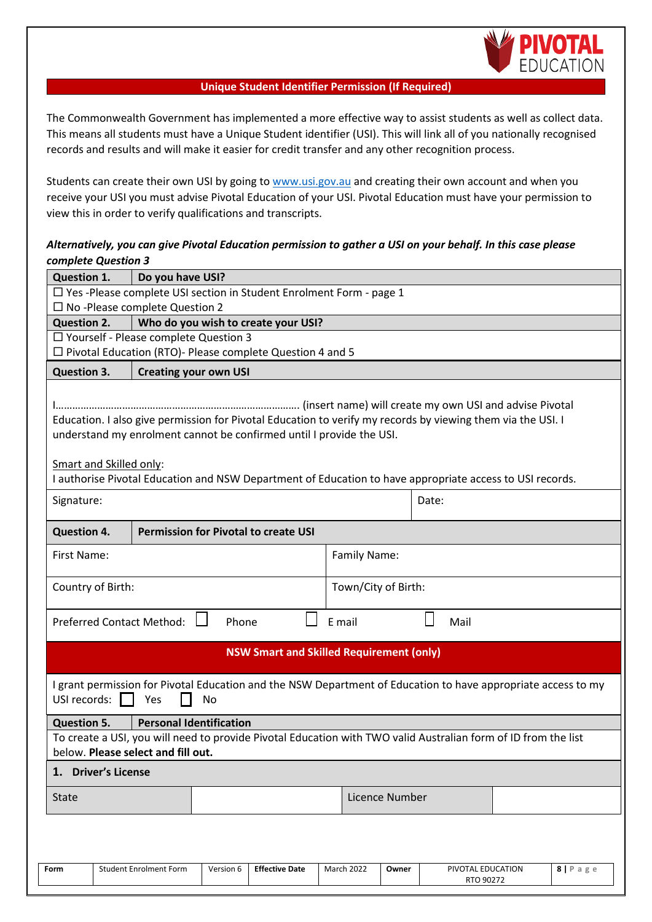

### **Unique Student Identifier Permission (If Required)**

The Commonwealth Government has implemented a more effective way to assist students as well as collect data. This means all students must have a Unique Student identifier (USI). This will link all of you nationally recognised records and results and will make it easier for credit transfer and any other recognition process.

Students can create their own USI by going to [www.usi.gov.au](http://www.usi.gov.au/) and creating their own account and when you receive your USI you must advise Pivotal Education of your USI. Pivotal Education must have your permission to view this in order to verify qualifications and transcripts.

## *Alternatively, you can give Pivotal Education permission to gather a USI on your behalf. In this case please complete Question 3*

| <b>Question 1.</b>                                                                                                                                                                  |                                                                                                                                  | Do you have USI?                 |       |                                                                                                          |  |                     |  |  |           |  |
|-------------------------------------------------------------------------------------------------------------------------------------------------------------------------------------|----------------------------------------------------------------------------------------------------------------------------------|----------------------------------|-------|----------------------------------------------------------------------------------------------------------|--|---------------------|--|--|-----------|--|
|                                                                                                                                                                                     | $\Box$ Yes-Please complete USI section in Student Enrolment Form - page 1                                                        |                                  |       |                                                                                                          |  |                     |  |  |           |  |
| $\square$ No -Please complete Question 2                                                                                                                                            |                                                                                                                                  |                                  |       |                                                                                                          |  |                     |  |  |           |  |
|                                                                                                                                                                                     | <b>Question 2.</b><br>Who do you wish to create your USI?                                                                        |                                  |       |                                                                                                          |  |                     |  |  |           |  |
|                                                                                                                                                                                     | □ Yourself - Please complete Question 3                                                                                          |                                  |       |                                                                                                          |  |                     |  |  |           |  |
|                                                                                                                                                                                     | $\Box$ Pivotal Education (RTO)- Please complete Question 4 and 5                                                                 |                                  |       |                                                                                                          |  |                     |  |  |           |  |
|                                                                                                                                                                                     | <b>Question 3.</b><br><b>Creating your own USI</b>                                                                               |                                  |       |                                                                                                          |  |                     |  |  |           |  |
| Education. I also give permission for Pivotal Education to verify my records by viewing them via the USI. I<br>understand my enrolment cannot be confirmed until I provide the USI. |                                                                                                                                  |                                  |       |                                                                                                          |  |                     |  |  |           |  |
| Smart and Skilled only:                                                                                                                                                             |                                                                                                                                  |                                  |       | I authorise Pivotal Education and NSW Department of Education to have appropriate access to USI records. |  |                     |  |  |           |  |
| Signature:<br>Date:                                                                                                                                                                 |                                                                                                                                  |                                  |       |                                                                                                          |  |                     |  |  |           |  |
|                                                                                                                                                                                     | <b>Permission for Pivotal to create USI</b><br><b>Question 4.</b>                                                                |                                  |       |                                                                                                          |  |                     |  |  |           |  |
| First Name:                                                                                                                                                                         |                                                                                                                                  |                                  |       |                                                                                                          |  | Family Name:        |  |  |           |  |
| Country of Birth:                                                                                                                                                                   |                                                                                                                                  |                                  |       |                                                                                                          |  | Town/City of Birth: |  |  |           |  |
|                                                                                                                                                                                     |                                                                                                                                  | <b>Preferred Contact Method:</b> | Phone |                                                                                                          |  | E mail              |  |  | Mail      |  |
|                                                                                                                                                                                     |                                                                                                                                  |                                  |       | <b>NSW Smart and Skilled Requirement (only)</b>                                                          |  |                     |  |  |           |  |
| I grant permission for Pivotal Education and the NSW Department of Education to have appropriate access to my<br>USI records:<br>Yes<br>No                                          |                                                                                                                                  |                                  |       |                                                                                                          |  |                     |  |  |           |  |
| <b>Question 5.</b><br><b>Personal Identification</b>                                                                                                                                |                                                                                                                                  |                                  |       |                                                                                                          |  |                     |  |  |           |  |
| To create a USI, you will need to provide Pivotal Education with TWO valid Australian form of ID from the list<br>below. Please select and fill out.                                |                                                                                                                                  |                                  |       |                                                                                                          |  |                     |  |  |           |  |
| 1. Driver's License                                                                                                                                                                 |                                                                                                                                  |                                  |       |                                                                                                          |  |                     |  |  |           |  |
| <b>State</b>                                                                                                                                                                        |                                                                                                                                  |                                  |       | Licence Number                                                                                           |  |                     |  |  |           |  |
| Form                                                                                                                                                                                | <b>Student Enrolment Form</b><br>PIVOTAL EDUCATION<br>$8$   P a g e<br>Version 6<br><b>Effective Date</b><br>March 2022<br>Owner |                                  |       |                                                                                                          |  |                     |  |  |           |  |
|                                                                                                                                                                                     |                                                                                                                                  |                                  |       |                                                                                                          |  |                     |  |  | RTO 90272 |  |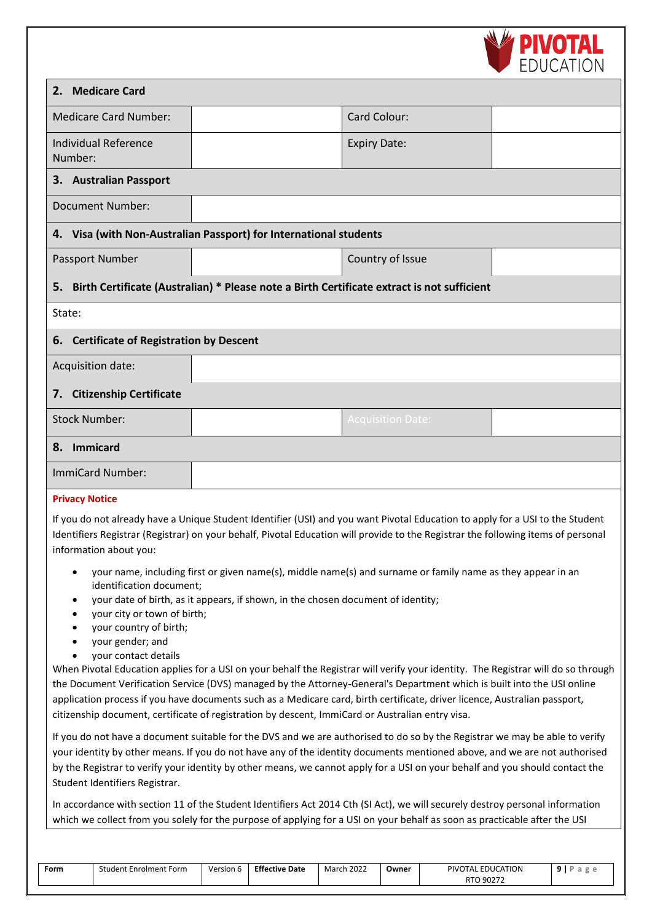

|                                                                                                                                                                                                                                                                                                                                                                                                                                                                                                                                                                                                                                   |                                                                                            |                          | <b>LUUCAIIUI</b> |  |  |  |  |  |
|-----------------------------------------------------------------------------------------------------------------------------------------------------------------------------------------------------------------------------------------------------------------------------------------------------------------------------------------------------------------------------------------------------------------------------------------------------------------------------------------------------------------------------------------------------------------------------------------------------------------------------------|--------------------------------------------------------------------------------------------|--------------------------|------------------|--|--|--|--|--|
| <b>Medicare Card</b><br>2.                                                                                                                                                                                                                                                                                                                                                                                                                                                                                                                                                                                                        |                                                                                            |                          |                  |  |  |  |  |  |
| <b>Medicare Card Number:</b>                                                                                                                                                                                                                                                                                                                                                                                                                                                                                                                                                                                                      |                                                                                            | Card Colour:             |                  |  |  |  |  |  |
| <b>Individual Reference</b><br>Number:                                                                                                                                                                                                                                                                                                                                                                                                                                                                                                                                                                                            |                                                                                            | <b>Expiry Date:</b>      |                  |  |  |  |  |  |
| 3. Australian Passport                                                                                                                                                                                                                                                                                                                                                                                                                                                                                                                                                                                                            |                                                                                            |                          |                  |  |  |  |  |  |
| <b>Document Number:</b>                                                                                                                                                                                                                                                                                                                                                                                                                                                                                                                                                                                                           |                                                                                            |                          |                  |  |  |  |  |  |
| 4. Visa (with Non-Australian Passport) for International students                                                                                                                                                                                                                                                                                                                                                                                                                                                                                                                                                                 |                                                                                            |                          |                  |  |  |  |  |  |
| Passport Number                                                                                                                                                                                                                                                                                                                                                                                                                                                                                                                                                                                                                   |                                                                                            | Country of Issue         |                  |  |  |  |  |  |
| 5.                                                                                                                                                                                                                                                                                                                                                                                                                                                                                                                                                                                                                                | Birth Certificate (Australian) * Please note a Birth Certificate extract is not sufficient |                          |                  |  |  |  |  |  |
| State:                                                                                                                                                                                                                                                                                                                                                                                                                                                                                                                                                                                                                            |                                                                                            |                          |                  |  |  |  |  |  |
| <b>Certificate of Registration by Descent</b><br>6.                                                                                                                                                                                                                                                                                                                                                                                                                                                                                                                                                                               |                                                                                            |                          |                  |  |  |  |  |  |
| Acquisition date:                                                                                                                                                                                                                                                                                                                                                                                                                                                                                                                                                                                                                 |                                                                                            |                          |                  |  |  |  |  |  |
| <b>Citizenship Certificate</b><br>7.                                                                                                                                                                                                                                                                                                                                                                                                                                                                                                                                                                                              |                                                                                            |                          |                  |  |  |  |  |  |
| <b>Stock Number:</b>                                                                                                                                                                                                                                                                                                                                                                                                                                                                                                                                                                                                              |                                                                                            | <b>Acquisition Date:</b> |                  |  |  |  |  |  |
| Immicard<br>8.                                                                                                                                                                                                                                                                                                                                                                                                                                                                                                                                                                                                                    |                                                                                            |                          |                  |  |  |  |  |  |
| ImmiCard Number:                                                                                                                                                                                                                                                                                                                                                                                                                                                                                                                                                                                                                  |                                                                                            |                          |                  |  |  |  |  |  |
| <b>Privacy Notice</b><br>If you do not already have a Unique Student Identifier (USI) and you want Pivotal Education to apply for a USI to the Student<br>Identifiers Registrar (Registrar) on your behalf, Pivotal Education will provide to the Registrar the following items of personal<br>information about you:<br>your name, including first or given name(s), middle name(s) and surname or family name as they appear in an<br>٠<br>identification document;<br>your date of birth, as it appears, if shown, in the chosen document of identity;<br>٠<br>your city or town of birth;<br>٠<br>your country of birth;<br>٠ |                                                                                            |                          |                  |  |  |  |  |  |
| your gender; and<br>your contact details<br>When Pivotal Education applies for a USI on your behalf the Registrar will verify your identity. The Registrar will do so through<br>the Document Verification Service (DVS) managed by the Attorney-General's Department which is built into the USI online<br>application process if you have documents such as a Medicare card, birth certificate, driver licence, Australian passport,<br>citizenship document, certificate of registration by descent, ImmiCard or Australian entry visa.                                                                                        |                                                                                            |                          |                  |  |  |  |  |  |

If you do not have a document suitable for the DVS and we are authorised to do so by the Registrar we may be able to verify your identity by other means. If you do not have any of the identity documents mentioned above, and we are not authorised by the Registrar to verify your identity by other means, we cannot apply for a USI on your behalf and you should contact the Student Identifiers Registrar.

In accordance with section 11 of the Student Identifiers Act 2014 Cth (SI Act), we will securely destroy personal information which we collect from you solely for the purpose of applying for a USI on your behalf as soon as practicable after the USI

| Form | Student Enrolment Form | Version 6 | <b>Effective Date</b> | March 2022<br>Owner |  | PIVOTAL EDUCATION | D.<br>d |
|------|------------------------|-----------|-----------------------|---------------------|--|-------------------|---------|
|      |                        |           |                       |                     |  | RTO 90272         |         |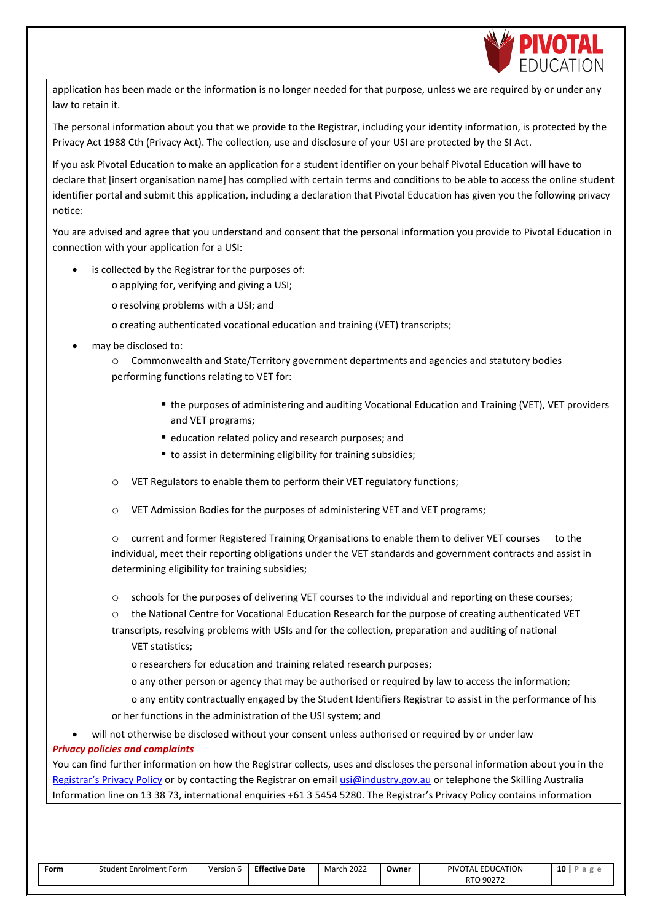

application has been made or the information is no longer needed for that purpose, unless we are required by or under any law to retain it.

The personal information about you that we provide to the Registrar, including your identity information, is protected by the Privacy Act 1988 Cth (Privacy Act). The collection, use and disclosure of your USI are protected by the SI Act.

If you ask Pivotal Education to make an application for a student identifier on your behalf Pivotal Education will have to declare that [insert organisation name] has complied with certain terms and conditions to be able to access the online student identifier portal and submit this application, including a declaration that Pivotal Education has given you the following privacy notice:

You are advised and agree that you understand and consent that the personal information you provide to Pivotal Education in connection with your application for a USI:

- is collected by the Registrar for the purposes of:
	- o applying for, verifying and giving a USI;
	- o resolving problems with a USI; and
	- o creating authenticated vocational education and training (VET) transcripts;
- may be disclosed to:

o Commonwealth and State/Territory government departments and agencies and statutory bodies performing functions relating to VET for:

- the purposes of administering and auditing Vocational Education and Training (VET), VET providers and VET programs;
- education related policy and research purposes; and
- to assist in determining eligibility for training subsidies;
- o VET Regulators to enable them to perform their VET regulatory functions;
- o VET Admission Bodies for the purposes of administering VET and VET programs;

o current and former Registered Training Organisations to enable them to deliver VET courses to the individual, meet their reporting obligations under the VET standards and government contracts and assist in determining eligibility for training subsidies;

- o schools for the purposes of delivering VET courses to the individual and reporting on these courses;
- o the National Centre for Vocational Education Research for the purpose of creating authenticated VET
- transcripts, resolving problems with USIs and for the collection, preparation and auditing of national VET statistics;

o researchers for education and training related research purposes;

o any other person or agency that may be authorised or required by law to access the information;

o any entity contractually engaged by the Student Identifiers Registrar to assist in the performance of his or her functions in the administration of the USI system; and

will not otherwise be disclosed without your consent unless authorised or required by or under law

## *Privacy policies and complaints*

You can find further information on how the Registrar collects, uses and discloses the personal information about you in the [Registrar's Privacy Po](http://usi.gov.au/Pages/privacy-policy.aspx)licy [o](http://usi.gov.au/Pages/privacy-policy.aspx)r by contacting the Registrar on email usi@industry.gov.au or telephone the Skilling Australia Information line on 13 38 73, international enquiries +61 3 5454 5280. The Registrar's Privacy Policy contains information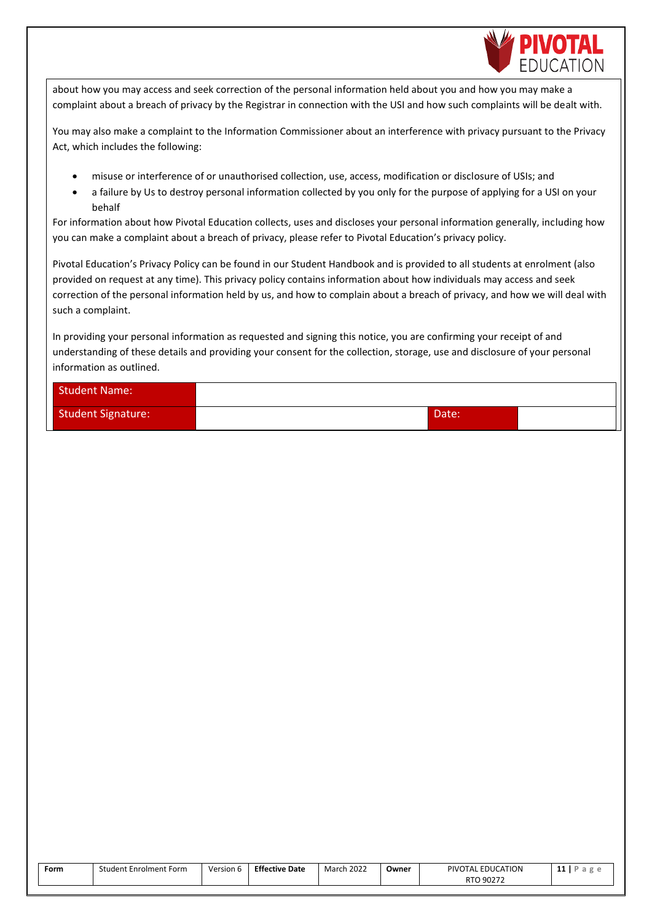

about how you may access and seek correction of the personal information held about you and how you may make a complaint about a breach of privacy by the Registrar in connection with the USI and how such complaints will be dealt with.

You may also make a complaint to the Information Commissioner about an interference with privacy pursuant to the Privacy Act, which includes the following:

- misuse or interference of or unauthorised collection, use, access, modification or disclosure of USIs; and
- a failure by Us to destroy personal information collected by you only for the purpose of applying for a USI on your behalf

For information about how Pivotal Education collects, uses and discloses your personal information generally, including how you can make a complaint about a breach of privacy, please refer to Pivotal Education's privacy policy.

Pivotal Education's Privacy Policy can be found in our Student Handbook and is provided to all students at enrolment (also provided on request at any time). This privacy policy contains information about how individuals may access and seek correction of the personal information held by us, and how to complain about a breach of privacy, and how we will deal with such a complaint.

In providing your personal information as requested and signing this notice, you are confirming your receipt of and understanding of these details and providing your consent for the collection, storage, use and disclosure of your personal information as outlined.

| Student Name:             |       |  |
|---------------------------|-------|--|
| <b>Student Signature:</b> | Date: |  |

| Form | Student Enrolment Form | Version 6 | <b>Effective Date</b> | <b>March 2022</b> | Owner | PIVOTAL EDUCATION | . . |
|------|------------------------|-----------|-----------------------|-------------------|-------|-------------------|-----|
|      |                        |           |                       |                   |       | RTO 90272         |     |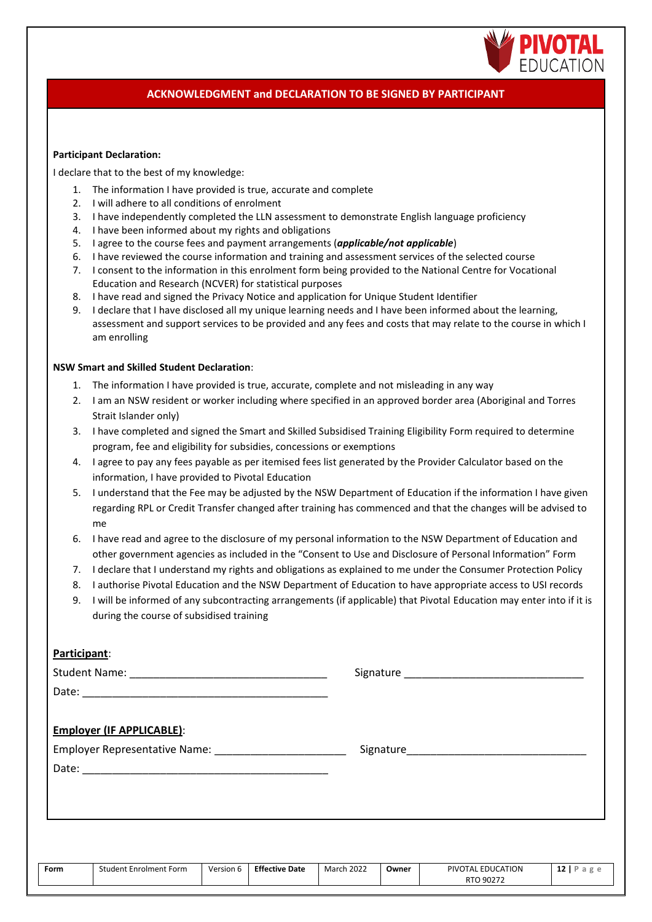

## **ACKNOWLEDGMENT and DECLARATION TO BE SIGNED BY PARTICIPANT**

#### **Participant Declaration:**

I declare that to the best of my knowledge:

- 1. The information I have provided is true, accurate and complete
- 2. I will adhere to all conditions of enrolment
- 3. I have independently completed the LLN assessment to demonstrate English language proficiency
- 4. I have been informed about my rights and obligations
- 5. I agree to the course fees and payment arrangements (*applicable/not applicable*)
- 6. I have reviewed the course information and training and assessment services of the selected course
- 7. I consent to the information in this enrolment form being provided to the National Centre for Vocational Education and Research (NCVER) for statistical purposes
- 8. I have read and signed the Privacy Notice and application for Unique Student Identifier
- 9. I declare that I have disclosed all my unique learning needs and I have been informed about the learning, assessment and support services to be provided and any fees and costs that may relate to the course in which I am enrolling

#### **NSW Smart and Skilled Student Declaration**:

- 1. The information I have provided is true, accurate, complete and not misleading in any way
- 2. I am an NSW resident or worker including where specified in an approved border area (Aboriginal and Torres Strait Islander only)
- 3. I have completed and signed the Smart and Skilled Subsidised Training Eligibility Form required to determine program, fee and eligibility for subsidies, concessions or exemptions
- 4. I agree to pay any fees payable as per itemised fees list generated by the Provider Calculator based on the information, I have provided to Pivotal Education
- 5. I understand that the Fee may be adjusted by the NSW Department of Education if the information I have given regarding RPL or Credit Transfer changed after training has commenced and that the changes will be advised to me
- 6. I have read and agree to the disclosure of my personal information to the NSW Department of Education and other government agencies as included in the "Consent to Use and Disclosure of Personal Information" Form
- 7. I declare that I understand my rights and obligations as explained to me under the Consumer Protection Policy
- 8. I authorise Pivotal Education and the NSW Department of Education to have appropriate access to USI records
- 9. I will be informed of any subcontracting arrangements (if applicable) that Pivotal Education may enter into if it is during the course of subsidised training

## **Participant**:

| <b>Employer (IF APPLICABLE):</b>                                |  |
|-----------------------------------------------------------------|--|
| Employer Representative Name: Mame: Manual Assembly Press, 2014 |  |
|                                                                 |  |
|                                                                 |  |
|                                                                 |  |
|                                                                 |  |
|                                                                 |  |